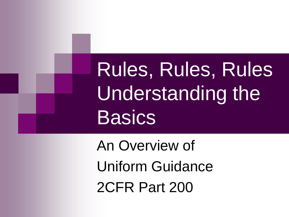Rules, Rules, Rules Understanding the **Basics** 

An Overview of Uniform Guidance 2CFR Part 200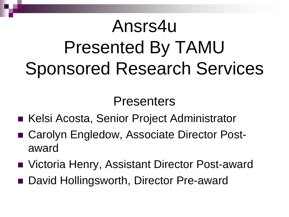# Ansrs4u Presented By TAMU Sponsored Research Services

Presenters

- Kelsi Acosta, Senior Project Administrator
- Carolyn Engledow, Associate Director Postaward
- Victoria Henry, Assistant Director Post-award
- David Hollingsworth, Director Pre-award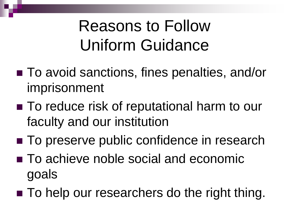## Reasons to Follow Uniform Guidance

- To avoid sanctions, fines penalties, and/or imprisonment
- To reduce risk of reputational harm to our faculty and our institution
- To preserve public confidence in research
- To achieve noble social and economic goals
- To help our researchers do the right thing.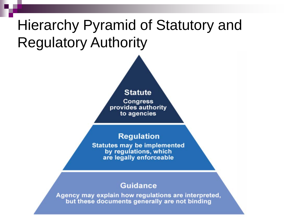#### Hierarchy Pyramid of Statutory and Regulatory Authority



#### **Regulation**

Statutes may be implemented<br>by regulations, which are legally enforceable

#### **Guidance**

Agency may explain how regulations are interpreted, but these documents generally are not binding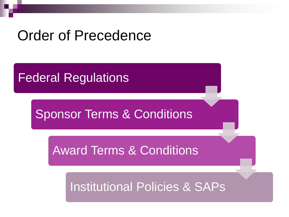#### Order of Precedence

Federal Regulations

#### Sponsor Terms & Conditions

Award Terms & Conditions

Institutional Policies & SAPs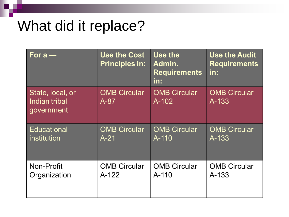#### What did it replace?

| For $a -$                                       | <b>Use the Cost</b><br><b>Principles in:</b> | Use the<br>Admin.<br><b>Requirements</b><br>in: | <b>Use the Audit</b><br><b>Requirements</b><br>in: |
|-------------------------------------------------|----------------------------------------------|-------------------------------------------------|----------------------------------------------------|
| State, local, or<br>Indian tribal<br>government | <b>OMB Circular</b><br>$A-87$                | <b>OMB Circular</b><br>$A-102$                  | <b>OMB Circular</b><br>A-133                       |
| <b>Educational</b>                              | <b>OMB Circular</b>                          | <b>OMB Circular</b>                             | <b>OMB Circular</b>                                |
| institution                                     | $A-21$                                       | $A-110$                                         | A-133                                              |
| Non-Profit                                      | <b>OMB Circular</b>                          | <b>OMB Circular</b>                             | <b>OMB Circular</b>                                |
| Organization                                    | A-122                                        | A-110                                           | $A - 133$                                          |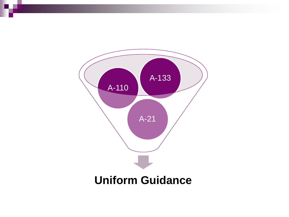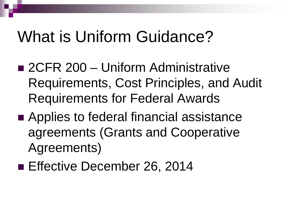#### What is Uniform Guidance?

- 2CFR 200 Uniform Administrative Requirements, Cost Principles, and Audit Requirements for Federal Awards
- Applies to federal financial assistance agreements (Grants and Cooperative Agreements)
- Effective December 26, 2014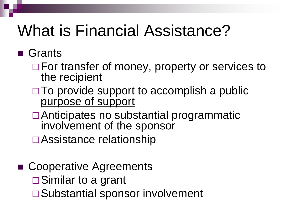## What is Financial Assistance?

■ Grants

- □ For transfer of money, property or services to the recipient
- $\Box$  To provide support to accomplish a public purpose of support
- Anticipates no substantial programmatic involvement of the sponsor

Assistance relationship

■ Cooperative Agreements □ Similar to a grant □ Substantial sponsor involvement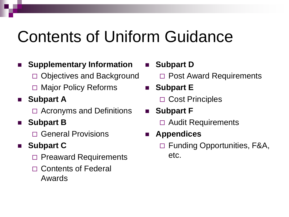#### Contents of Uniform Guidance

#### **E** Supplementary Information

Objectives and Background

- Major Policy Reforms
- **Subpart A**
	- $\Box$  Acronyms and Definitions
- Subpart B
	- □ General Provisions

#### **Subpart C**

- $\Box$  Preaward Requirements
- □ Contents of Federal Awards
- Subpart D  $\Box$  Post Award Requirements
- **Subpart E**
	- □ Cost Principles
- Subpart F □ Audit Requirements
- **Appendices**
	- □ Funding Opportunities, F&A, etc.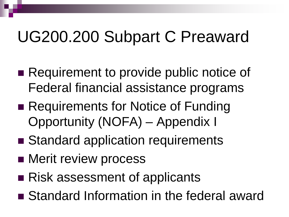## UG200.200 Subpart C Preaward

- Requirement to provide public notice of Federal financial assistance programs
- Requirements for Notice of Funding Opportunity (NOFA) – Appendix I
- Standard application requirements
- **Nerit review process**
- Risk assessment of applicants
- Standard Information in the federal award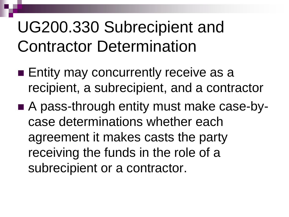## UG200.330 Subrecipient and Contractor Determination

- Entity may concurrently receive as a recipient, a subrecipient, and a contractor
- A pass-through entity must make case-bycase determinations whether each agreement it makes casts the party receiving the funds in the role of a subrecipient or a contractor.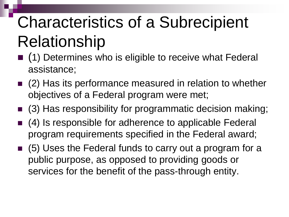# Characteristics of a Subrecipient Relationship

- (1) Determines who is eligible to receive what Federal assistance;
- (2) Has its performance measured in relation to whether objectives of a Federal program were met;
- (3) Has responsibility for programmatic decision making;
- (4) Is responsible for adherence to applicable Federal program requirements specified in the Federal award;
- (5) Uses the Federal funds to carry out a program for a public purpose, as opposed to providing goods or services for the benefit of the pass-through entity.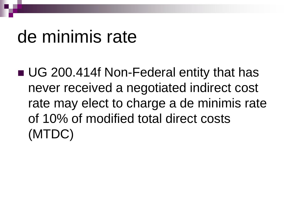## de minimis rate

■ UG 200.414f Non-Federal entity that has never received a negotiated indirect cost rate may elect to charge a de minimis rate of 10% of modified total direct costs (MTDC)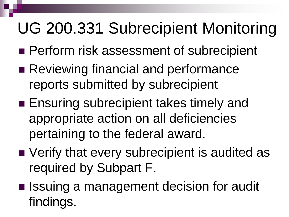## UG 200.331 Subrecipient Monitoring

- **Perform risk assessment of subrecipient**
- Reviewing financial and performance reports submitted by subrecipient
- **Ensuring subrecipient takes timely and** appropriate action on all deficiencies pertaining to the federal award.
- Verify that every subrecipient is audited as required by Subpart F.
- Issuing a management decision for audit findings.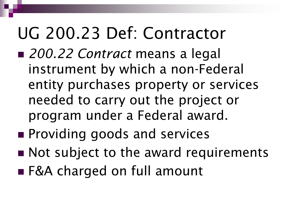## UG 200.23 Def: Contractor

- 200.22 Contract means a legal instrument by which a non-Federal entity purchases property or services needed to carry out the project or program under a Federal award.
- **Providing goods and services**
- Not subject to the award requirements
- F&A charged on full amount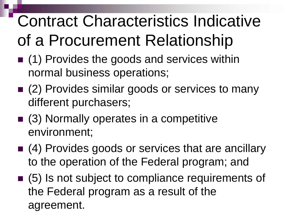# Contract Characteristics Indicative of a Procurement Relationship

- (1) Provides the goods and services within normal business operations;
- (2) Provides similar goods or services to many different purchasers;
- (3) Normally operates in a competitive environment;
- (4) Provides goods or services that are ancillary to the operation of the Federal program; and
- (5) Is not subject to compliance requirements of the Federal program as a result of the agreement.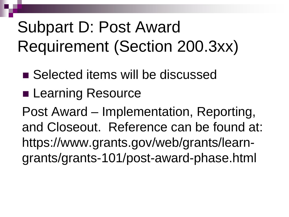## Subpart D: Post Award Requirement (Section 200.3xx)

- Selected items will be discussed
- **Learning Resource**

Post Award – Implementation, Reporting, and Closeout. Reference can be found at: https://www.grants.gov/web/grants/learngrants/grants-101/post-award-phase.html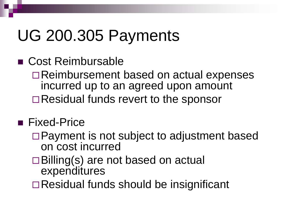#### UG 200.305 Payments

- Cost Reimbursable
	- □Reimbursement based on actual expenses incurred up to an agreed upon amount □Residual funds revert to the sponsor

#### **Fixed-Price**

- □ Payment is not subject to adjustment based on cost incurred
- Billing(s) are not based on actual expenditures
- □ Residual funds should be insignificant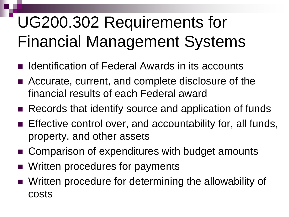# UG200.302 Requirements for Financial Management Systems

- Identification of Federal Awards in its accounts
- Accurate, current, and complete disclosure of the financial results of each Federal award
- Records that identify source and application of funds
- **Effective control over, and accountability for, all funds,** property, and other assets
- Comparison of expenditures with budget amounts
- Written procedures for payments
- Written procedure for determining the allowability of costs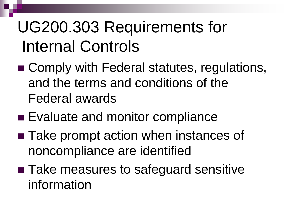## UG200.303 Requirements for Internal Controls

- Comply with Federal statutes, regulations, and the terms and conditions of the Federal awards
- Evaluate and monitor compliance
- Take prompt action when instances of noncompliance are identified
- Take measures to safeguard sensitive information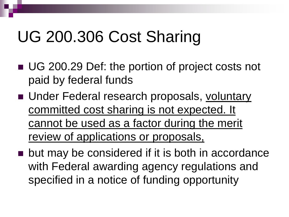#### UG 200.306 Cost Sharing

- UG 200.29 Def: the portion of project costs not paid by federal funds
- **Under Federal research proposals, voluntary** committed cost sharing is not expected. It cannot be used as a factor during the merit review of applications or proposals,
- **Deta has all in the considered if it is both in accordance** with Federal awarding agency regulations and specified in a notice of funding opportunity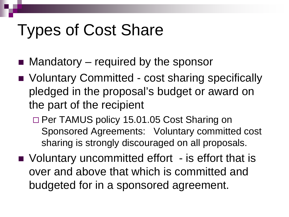## Types of Cost Share

- $\blacksquare$  Mandatory required by the sponsor
- Voluntary Committed cost sharing specifically pledged in the proposal's budget or award on the part of the recipient
	- □ Per TAMUS policy 15.01.05 Cost Sharing on Sponsored Agreements: Voluntary committed cost sharing is strongly discouraged on all proposals.
- Voluntary uncommitted effort is effort that is over and above that which is committed and budgeted for in a sponsored agreement.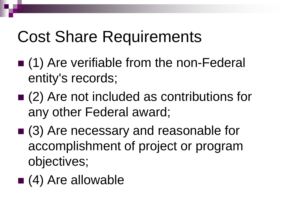### Cost Share Requirements

- (1) Are verifiable from the non-Federal entity's records;
- (2) Are not included as contributions for any other Federal award;
- (3) Are necessary and reasonable for accomplishment of project or program objectives;
- (4) Are allowable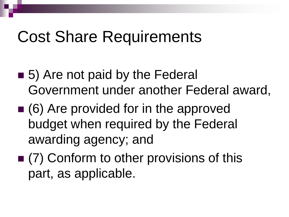#### Cost Share Requirements

- 5) Are not paid by the Federal Government under another Federal award,
- (6) Are provided for in the approved budget when required by the Federal awarding agency; and
- (7) Conform to other provisions of this part, as applicable.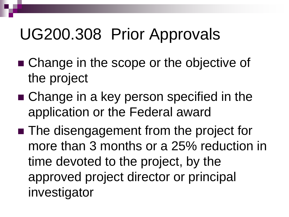#### UG200.308 Prior Approvals

- Change in the scope or the objective of the project
- Change in a key person specified in the application or the Federal award
- **The disengagement from the project form** more than 3 months or a 25% reduction in time devoted to the project, by the approved project director or principal investigator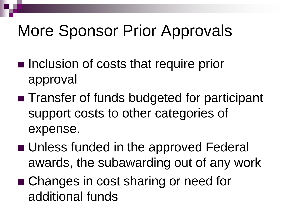## More Sponsor Prior Approvals

- Inclusion of costs that require prior approval
- **Transfer of funds budgeted for participant** support costs to other categories of expense.
- **Unless funded in the approved Federal** awards, the subawarding out of any work
- Changes in cost sharing or need for additional funds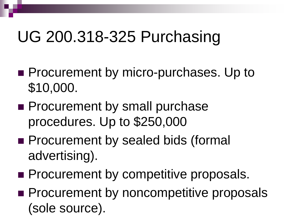## UG 200.318-325 Purchasing

- **Procurement by micro-purchases. Up to** \$10,000.
- **Procurement by small purchase** procedures. Up to \$250,000
- **Procurement by sealed bids (formal** advertising).
- **Procurement by competitive proposals.**
- **Procurement by noncompetitive proposals** (sole source).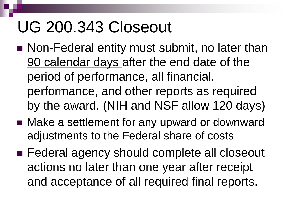### UG 200.343 Closeout

- Non-Federal entity must submit, no later than 90 calendar days after the end date of the period of performance, all financial, performance, and other reports as required by the award. (NIH and NSF allow 120 days)
- Make a settlement for any upward or downward adjustments to the Federal share of costs
- Federal agency should complete all closeout actions no later than one year after receipt and acceptance of all required final reports.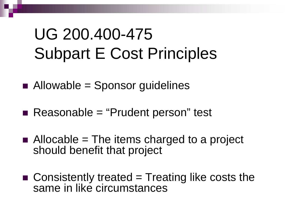### UG 200.400-475 Subpart E Cost Principles

- $\blacksquare$  Allowable = Sponsor guidelines
- Reasonable = "Prudent person" test
- $\blacksquare$  Allocable = The items charged to a project should benefit that project
- $\blacksquare$  Consistently treated  $=$  Treating like costs the same in like circumstances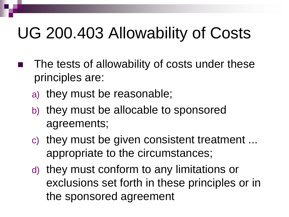## UG 200.403 Allowability of Costs

- The tests of allowability of costs under these principles are:
	- a) they must be reasonable;
	- b) they must be allocable to sponsored agreements;
	- c) they must be given consistent treatment ... appropriate to the circumstances;
	- d) they must conform to any limitations or exclusions set forth in these principles or in the sponsored agreement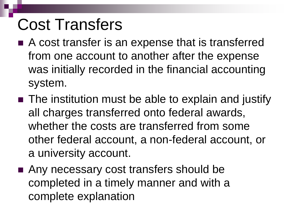## Cost Transfers

- A cost transfer is an expense that is transferred from one account to another after the expense was initially recorded in the financial accounting system.
- The institution must be able to explain and justify all charges transferred onto federal awards, whether the costs are transferred from some other federal account, a non-federal account, or a university account.
- Any necessary cost transfers should be completed in a timely manner and with a complete explanation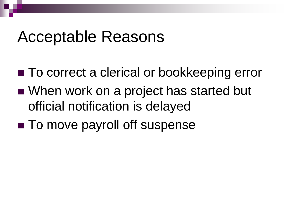#### Acceptable Reasons

- To correct a clerical or bookkeeping error
- When work on a project has started but official notification is delayed
- To move payroll off suspense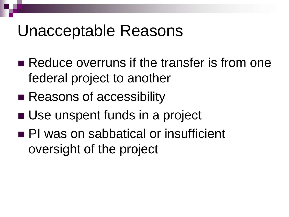#### Unacceptable Reasons

- Reduce overruns if the transfer is from one federal project to another
- Reasons of accessibility
- Use unspent funds in a project
- **PI** was on sabbatical or insufficient oversight of the project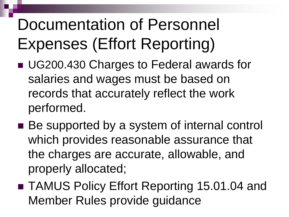# Documentation of Personnel Expenses (Effort Reporting)

- UG200.430 Charges to Federal awards for salaries and wages must be based on records that accurately reflect the work performed.
- Be supported by a system of internal control which provides reasonable assurance that the charges are accurate, allowable, and properly allocated;
- TAMUS Policy Effort Reporting 15.01.04 and Member Rules provide guidance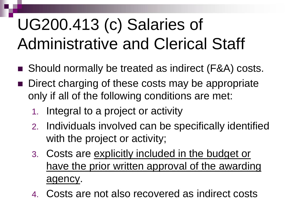# UG200.413 (c) Salaries of Administrative and Clerical Staff

- Should normally be treated as indirect (F&A) costs.
- Direct charging of these costs may be appropriate only if all of the following conditions are met:
	- 1. Integral to a project or activity
	- 2. Individuals involved can be specifically identified with the project or activity;
	- 3. Costs are explicitly included in the budget or have the prior written approval of the awarding agency.
	- 4. Costs are not also recovered as indirect costs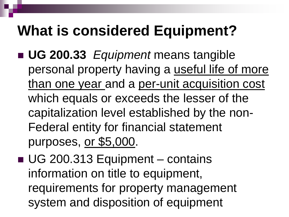#### **What is considered Equipment?**

- **UG 200.33** *Equipment* means tangible personal property having a useful life of more than one year and a per-unit acquisition cost which equals or exceeds the lesser of the capitalization level established by the non-Federal entity for financial statement purposes, or \$5,000.
- UG 200.313 Equipment contains information on title to equipment, requirements for property management system and disposition of equipment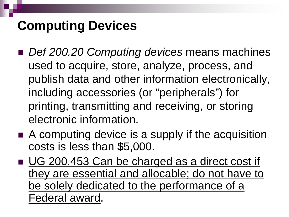#### **Computing Devices**

- *Def 200.20 Computing devices* means machines used to acquire, store, analyze, process, and publish data and other information electronically, including accessories (or "peripherals") for printing, transmitting and receiving, or storing electronic information.
- A computing device is a supply if the acquisition costs is less than \$5,000.
- UG 200.453 Can be charged as a direct cost if they are essential and allocable; do not have to be solely dedicated to the performance of a Federal award.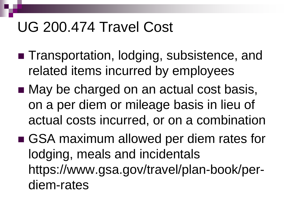#### UG 200.474 Travel Cost

- Transportation, lodging, subsistence, and related items incurred by employees
- May be charged on an actual cost basis, on a per diem or mileage basis in lieu of actual costs incurred, or on a combination
- GSA maximum allowed per diem rates for lodging, meals and incidentals https://www.gsa.gov/travel/plan-book/perdiem-rates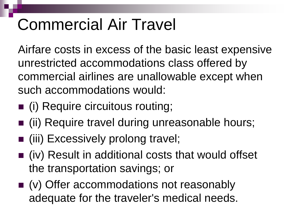## Commercial Air Travel

Airfare costs in excess of the basic least expensive unrestricted accommodations class offered by commercial airlines are unallowable except when such accommodations would:

- (i) Require circuitous routing;
- (ii) Require travel during unreasonable hours;
- (iii) Excessively prolong travel;
- (iv) Result in additional costs that would offset the transportation savings; or
- (v) Offer accommodations not reasonably adequate for the traveler's medical needs.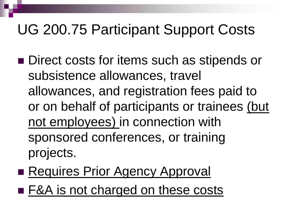#### UG 200.75 Participant Support Costs

- Direct costs for items such as stipends or subsistence allowances, travel allowances, and registration fees paid to or on behalf of participants or trainees (but not employees) in connection with sponsored conferences, or training projects.
- **Requires Prior Agency Approval**
- F&A is not charged on these costs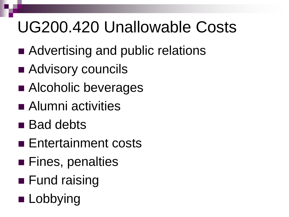## UG200.420 Unallowable Costs

- Advertising and public relations
- Advisory councils
- Alcoholic beverages
- **Alumni** activities
- Bad debts
- Entertainment costs
- **Fines, penalties**
- **Fund raising**
- **Lobbying**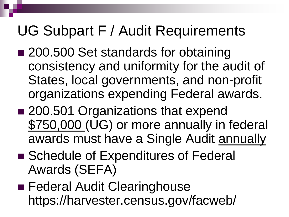#### UG Subpart F / Audit Requirements

- 200.500 Set standards for obtaining consistency and uniformity for the audit of States, local governments, and non-profit organizations expending Federal awards.
- 200.501 Organizations that expend \$750,000 (UG) or more annually in federal awards must have a Single Audit annually
- Schedule of Expenditures of Federal Awards (SEFA)
- **Federal Audit Clearinghouse** https://harvester.census.gov/facweb/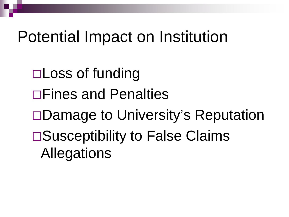#### Potential Impact on Institution

□Loss of funding □Fines and Penalties □Damage to University's Reputation □Susceptibility to False Claims Allegations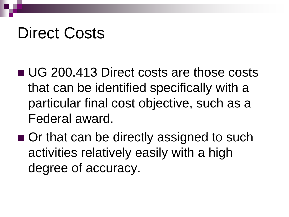#### Direct Costs

- UG 200.413 Direct costs are those costs that can be identified specifically with a particular final cost objective, such as a Federal award.
- Or that can be directly assigned to such activities relatively easily with a high degree of accuracy.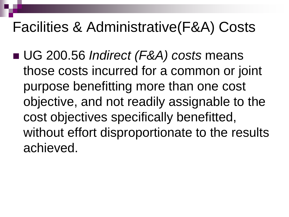#### Facilities & Administrative(F&A) Costs

■ UG 200.56 *Indirect (F&A) costs* means those costs incurred for a common or joint purpose benefitting more than one cost objective, and not readily assignable to the cost objectives specifically benefitted, without effort disproportionate to the results achieved.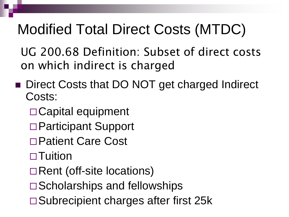#### Modified Total Direct Costs (MTDC)

UG 200.68 Definition: Subset of direct costs on which indirect is charged

- Direct Costs that DO NOT get charged Indirect Costs:
	- □ Capital equipment
	- Participant Support
	- □ Patient Care Cost
	- □ Tuition
	- □ Rent (off-site locations)
	- $\square$  Scholarships and fellowships
	- □ Subrecipient charges after first 25k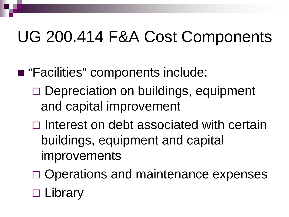### UG 200.414 F&A Cost Components

- "Facilities" components include:
	- □ Depreciation on buildings, equipment and capital improvement
	- $\Box$  Interest on debt associated with certain buildings, equipment and capital improvements
	- $\Box$  Operations and maintenance expenses □ Library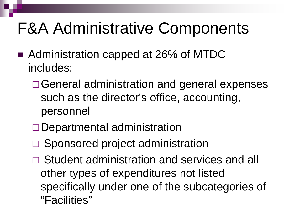### F&A Administrative Components

- Administration capped at 26% of MTDC includes:
	- □ General administration and general expenses such as the director's office, accounting, personnel
	- □ Departmental administration
	- $\square$  Sponsored project administration
	- □ Student administration and services and all other types of expenditures not listed specifically under one of the subcategories of "Facilities"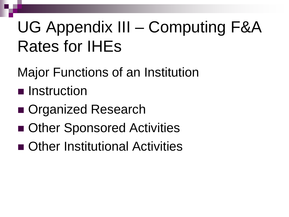## UG Appendix III – Computing F&A Rates for IHEs

- Major Functions of an Institution
- **n** Instruction
- Organized Research
- Other Sponsored Activities
- Other Institutional Activities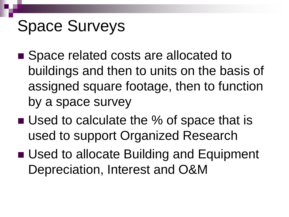#### Space Surveys

- Space related costs are allocated to buildings and then to units on the basis of assigned square footage, then to function by a space survey
- Used to calculate the % of space that is used to support Organized Research
- Used to allocate Building and Equipment Depreciation, Interest and O&M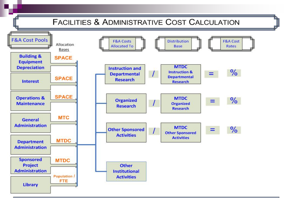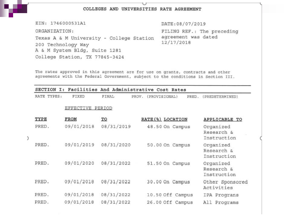#### COLLEGES AND UNIVERSITIES RATE AGREEMENT

EIN: 1746000531A1

ORGANIZATION:

DATE: 08/07/2019

FILING REF.: The preceding agreement was dated 12/17/2018

Texas A & M University - College Station 200 Technology Way A & M System Bldg, Suite 1281 College Station, TX 77845-3424

The rates approved in this agreement are for use on grants, contracts and other agreements with the Federal Government, subject to the conditions in Section III.

| <b>SECTION</b><br>T: |                  |            | Facilities And Administrative Cost Rates |                                        |
|----------------------|------------------|------------|------------------------------------------|----------------------------------------|
| RATE TYPES:          | FIXED            | FINAL      | PROV.<br>(PROVISIONAL)<br>PRED.          | PREDETERMINED)                         |
|                      | EFFECTIVE PERIOD |            |                                          |                                        |
| TYPE                 | <b>FROM</b>      | TO         | RATE (%) LOCATION                        | APPLICABLE TO                          |
| PRED.                | 09/01/2018       | 08/31/2019 | 48.50 On Campus                          | Organized<br>Research &<br>Instruction |
| PRED.                | 09/01/2019       | 08/31/2020 | 50.00 On Campus                          | Organized<br>Research &<br>Instruction |
| PRED.                | 09/01/2020       | 08/31/2022 | 51.50 On Campus                          | Organized<br>Research &<br>Instruction |
| PRED.                | 09/01/2018       | 08/31/2022 | 30.00 On Campus                          | Other Sponsored<br>Activities          |
| PRED.                | 09/01/2018       | 08/31/2022 | 10.50 Off Campus                         | IPA Prograns                           |
| PRED.                | 09/01/2018       | 08/31/2022 | 26.00 Off<br>Campus                      | All<br>Programs                        |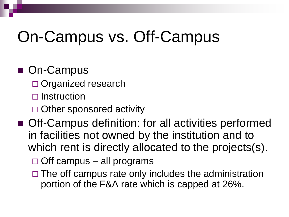## On-Campus vs. Off-Campus

#### ■ On-Campus

- □ Organized research
- $\square$  Instruction
- □ Other sponsored activity
- Off-Campus definition: for all activities performed in facilities not owned by the institution and to which rent is directly allocated to the projects(s).
	- $\Box$  Off campus all programs
	- $\Box$  The off campus rate only includes the administration portion of the F&A rate which is capped at 26%.